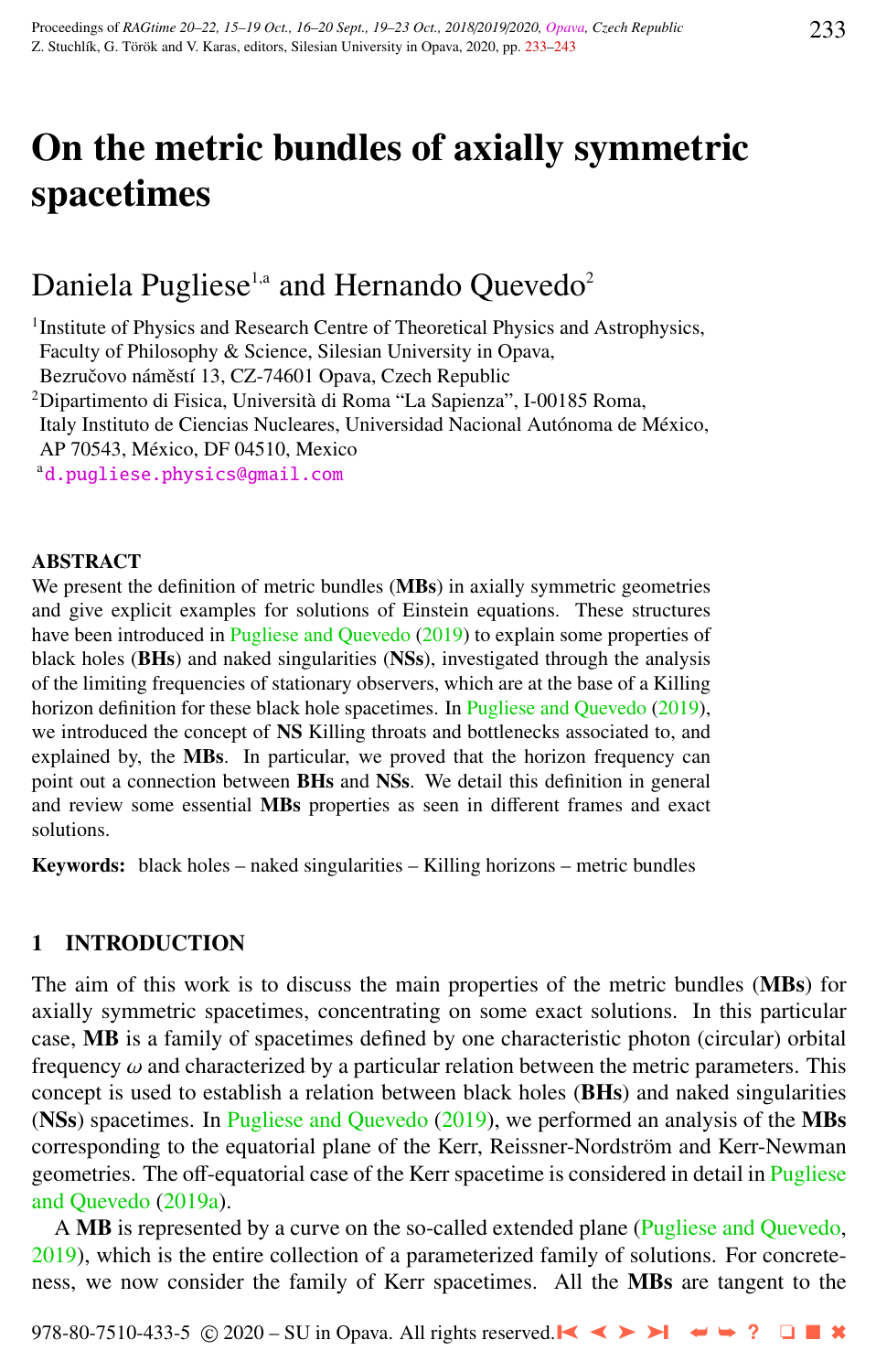# On the metric bundles of axially symmetric spacetimes

# Daniela Pugliese<sup>1,a</sup> and Hernando Ouevedo<sup>2</sup>

<sup>1</sup> Institute of Physics and Research Centre of Theoretical Physics and Astrophysics, Faculty of Philosophy & Science, Silesian University in Opava, Bezručovo náměstí 13, CZ-74601 Opava, Czech Republic

<sup>2</sup>Dipartimento di Fisica, Università di Roma "La Sapienza", I-00185 Roma,

Italy Instituto de Ciencias Nucleares, Universidad Nacional Autónoma de México,

AP 70543, Mexico, DF 04510, Mexico ´

<sup>a</sup>[d.pugliese.physics@gmail.com](http://www.physics.cz/ d.pugliese.physics@gmail.com)

#### ABSTRACT

We present the definition of metric bundles (MBs) in axially symmetric geometries and give explicit examples for solutions of Einstein equations. These structures have been introduced in [Pugliese and Quevedo](#page-10-0) [\(2019\)](#page-10-0) to explain some properties of black holes (BHs) and naked singularities (NSs), investigated through the analysis of the limiting frequencies of stationary observers, which are at the base of a Killing horizon definition for these black hole spacetimes. In [Pugliese and Quevedo](#page-10-0) [\(2019\)](#page-10-0), we introduced the concept of **NS** Killing throats and bottlenecks associated to, and explained by, the **MBs**. In particular, we proved that the horizon frequency can point out a connection between BHs and NSs. We detail this definition in general and review some essential MBs properties as seen in different frames and exact solutions.

Keywords: black holes – naked singularities – Killing horizons – metric bundles

# 1 INTRODUCTION

The aim of this work is to discuss the main properties of the metric bundles (MBs) for axially symmetric spacetimes, concentrating on some exact solutions. In this particular case, MB is a family of spacetimes defined by one characteristic photon (circular) orbital frequency  $\omega$  and characterized by a particular relation between the metric parameters. This concept is used to establish a relation between black holes (BHs) and naked singularities (NSs) spacetimes. In [Pugliese and Quevedo](#page-10-0)  $(2019)$ , we performed an analysis of the MBs corresponding to the equatorial plane of the Kerr, Reissner-Nordström and Kerr-Newman geometries. The off-equatorial case of the Kerr spacetime is considered in detail in [Pugliese](#page-10-0) [and Quevedo](#page-10-0) [\(2019a\)](#page-10-0).

A MB is represented by a curve on the so-called extended plane [\(Pugliese and Quevedo,](#page-10-0)  $2019$ ), which is the entire collection of a parameterized family of solutions. For concreteness, we now consider the family of Kerr spacetimes. All the MBs are tangent to the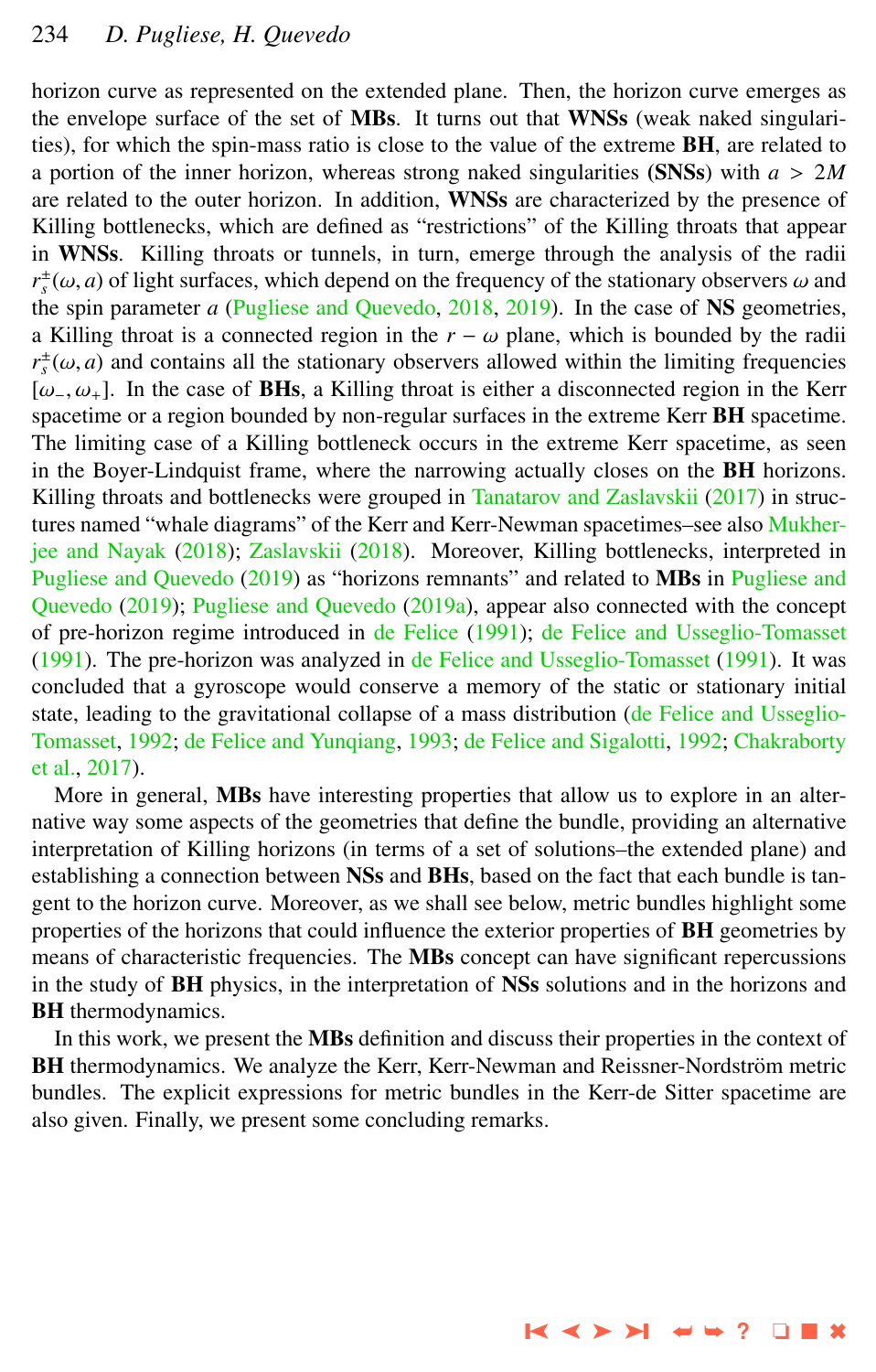horizon curve as represented on the extended plane. Then, the horizon curve emerges as the envelope surface of the set of MBs. It turns out that WNSs (weak naked singularities), for which the spin-mass ratio is close to the value of the extreme BH, are related to a portion of the inner horizon, whereas strong naked singularities (SNSs) with *<sup>a</sup>* > <sup>2</sup>*<sup>M</sup>* are related to the outer horizon. In addition, WNSs are characterized by the presence of Killing bottlenecks, which are defined as "restrictions" of the Killing throats that appear in WNSs. Killing throats or tunnels, in turn, emerge through the analysis of the radii  $r_s^{\pm}(\omega, a)$  of light surfaces, which depend on the frequency of the stationary observers  $\omega$  and  $r_s$  and  $\omega$  and  $\omega$  and  $\omega$  and  $\omega$  and  $\omega$  and  $\omega$  and  $\omega$  and  $\omega$  and  $\omega$  and  $\omega$  and  $\omega$  and  $\omega$  and  $\omega$ the spin parameter *a* [\(Pugliese and Quevedo,](#page-10-0) [2018,](#page-10-0) [2019\)](#page-10-0). In the case of NS geometries, a Killing throat is a connected region in the  $r - \omega$  plane, which is bounded by the radii  $r_s^{\pm}(\omega, a)$  and contains all the stationary observers allowed within the limiting frequencies<br>  $\omega$  ( $\omega$ ) In the case of **RHs**, a Killing throat is either a disconnected region in the Kerr [ $\omega$ <sub>-</sub>,  $\omega$ <sub>+</sub>]. In the case of **BHs**, a Killing throat is either a disconnected region in the Kerr spacetime or a region bounded by non-regular surfaces in the extreme Kerr BH spacetime. The limiting case of a Killing bottleneck occurs in the extreme Kerr spacetime, as seen in the Boyer-Lindquist frame, where the narrowing actually closes on the BH horizons. Killing throats and bottlenecks were grouped in [Tanatarov and Zaslavskii](#page-10-0) [\(2017\)](#page-10-0) in structures named "whale diagrams" of the Kerr and Kerr-Newman spacetimes–see also [Mukher](#page-10-0)[jee and Nayak](#page-10-0) [\(2018\)](#page-10-0); [Zaslavskii](#page-10-0) [\(2018\)](#page-10-0). Moreover, Killing bottlenecks, interpreted in [Pugliese and Quevedo](#page-10-0) [\(2019\)](#page-10-0) as "horizons remnants" and related to MBs in [Pugliese and](#page-10-0) [Quevedo](#page-10-0) [\(2019\)](#page-10-0); [Pugliese and Quevedo](#page-10-0) [\(2019a\)](#page-10-0), appear also connected with the concept of pre-horizon regime introduced in [de Felice](#page-10-0) [\(1991\)](#page-10-0); [de Felice and Usseglio-Tomasset](#page-10-0) [\(1991\)](#page-10-0). The pre-horizon was analyzed in [de Felice and Usseglio-Tomasset](#page-10-0) [\(1991\)](#page-10-0). It was concluded that a gyroscope would conserve a memory of the static or stationary initial state, leading to the gravitational collapse of a mass distribution [\(de Felice and Usseglio-](#page-10-0)[Tomasset,](#page-10-0) [1992;](#page-10-0) [de Felice and Yunqiang,](#page-10-0) [1993;](#page-10-0) [de Felice and Sigalotti,](#page-10-0) [1992;](#page-10-0) [Chakraborty](#page-9-0) [et al.,](#page-9-0) [2017\)](#page-9-0).

More in general, **MBs** have interesting properties that allow us to explore in an alternative way some aspects of the geometries that define the bundle, providing an alternative interpretation of Killing horizons (in terms of a set of solutions–the extended plane) and establishing a connection between NSs and BHs, based on the fact that each bundle is tangent to the horizon curve. Moreover, as we shall see below, metric bundles highlight some properties of the horizons that could influence the exterior properties of BH geometries by means of characteristic frequencies. The MBs concept can have significant repercussions in the study of BH physics, in the interpretation of NSs solutions and in the horizons and **BH** thermodynamics.

In this work, we present the MBs definition and discuss their properties in the context of BH thermodynamics. We analyze the Kerr, Kerr-Newman and Reissner-Nordström metric bundles. The explicit expressions for metric bundles in the Kerr-de Sitter spacetime are also given. Finally, we present some concluding remarks.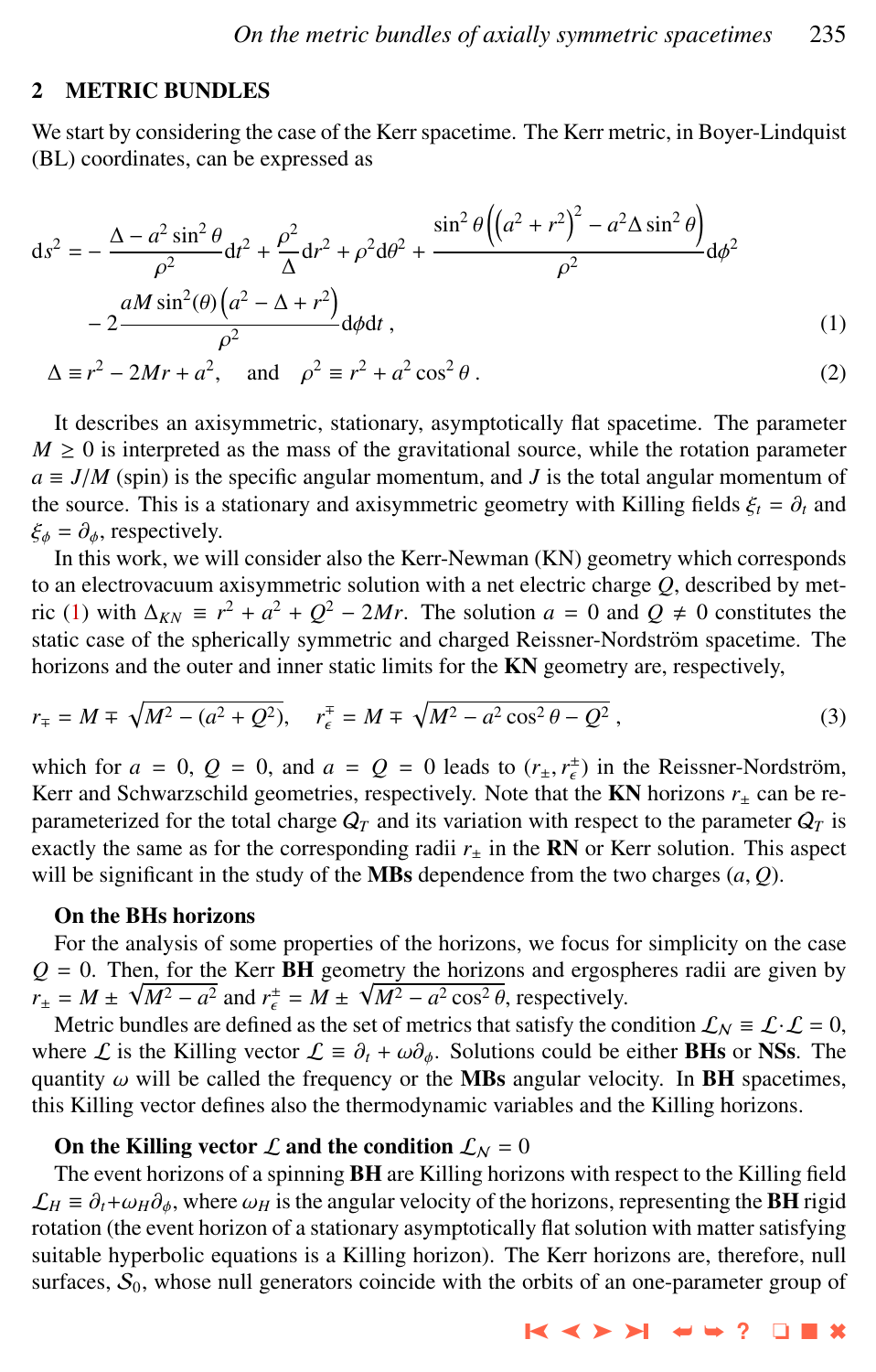# <span id="page-2-0"></span>2 METRIC BUNDLES

We start by considering the case of the Kerr spacetime. The Kerr metric, in Boyer-Lindquist (BL) coordinates, can be expressed as

$$
ds^{2} = -\frac{\Delta - a^{2} \sin^{2} \theta}{\rho^{2}} dt^{2} + \frac{\rho^{2}}{\Delta} dr^{2} + \rho^{2} d\theta^{2} + \frac{\sin^{2} \theta \left( \left( a^{2} + r^{2} \right)^{2} - a^{2} \Delta \sin^{2} \theta \right)}{\rho^{2}} d\phi^{2}
$$

$$
-2 \frac{a M \sin^{2}(\theta) \left( a^{2} - \Delta + r^{2} \right)}{\rho^{2}} d\phi dt , \qquad (1)
$$

$$
-2 \frac{\partial}{\partial^2} d\phi dt, \qquad (1)
$$
  

$$
\Delta \equiv r^2 - 2Mr + a^2, \text{ and } \rho^2 \equiv r^2 + a^2 \cos^2 \theta.
$$

It describes an axisymmetric, stationary, asymptotically flat spacetime. The parameter  $M \geq 0$  is interpreted as the mass of the gravitational source, while the rotation parameter  $a \equiv J/M$  (spin) is the specific angular momentum, and *J* is the total angular momentum of the source. This is a stationary and axisymmetric geometry with Killing fields  $\xi_t = \partial_t$  and  $\xi_{\phi} = \partial_{\phi}$ , respectively.

In this work, we will consider also the Kerr-Newman (KN) geometry which corresponds to an electrovacuum axisymmetric solution with a net electric charge *Q*, described by metric (1) with  $\Delta_{KN} \equiv r^2 + a^2 + Q^2 - 2Mr$ . The solution  $a = 0$  and  $Q \neq 0$  constitutes the static case of the spherically symmetric and charged Reissner-Nordström spacetime. The horizons and the outer and inner static limits for the KN geometry are, respectively,

$$
r_{\mp} = M \mp \sqrt{M^2 - (a^2 + Q^2)}, \quad r_{\epsilon}^{\mp} = M \mp \sqrt{M^2 - a^2 \cos^2 \theta - Q^2}, \tag{3}
$$

which for  $a = 0$ ,  $Q = 0$ , and  $a = Q = 0$  leads to  $(r_{\pm}, r_{\epsilon}^{\pm})$  in the Reissner-Nordström,<br>Kerr and Schwarzschild geometries, respectively. Note that the **KN** horizons r, can be re-Kerr and Schwarzschild geometries, respectively. Note that the  $KN$  horizons  $r_{\pm}$  can be reparameterized for the total charge  $Q_T$  and its variation with respect to the parameter  $Q_T$  is exactly the same as for the corresponding radii  $r_{\pm}$  in the **RN** or Kerr solution. This aspect will be significant in the study of the **MBs** dependence from the two charges  $(a, Q)$ .

# On the BHs horizons

For the analysis of some properties of the horizons, we focus for simplicity on the case  $Q = 0$ . Then, for the Kerr **BH** geometry the horizons and ergospheres radii are given by  $r_{\pm} = M \pm \sqrt{M^2 - a^2}$  and  $r_{\epsilon}^{\pm} = M \pm \sqrt{M^2 - a^2 \cos^2 \theta}$ , respectively.<br>Metric bundles are defined as the set of metrics that satisfy the co

Metric bundles are defined as the set of metrics that satisfy the condition  $\mathcal{L}_N \equiv \mathcal{L} \cdot \mathcal{L} = 0$ , where L is the Killing vector  $\mathcal{L} \equiv \partial_t + \omega \partial_\phi$ . Solutions could be either **BHs** or **NSs**. The quantity  $\omega$  will be called the frequency or the MBs angular velocity. In BH spacetimes, this Killing vector defines also the thermodynamic variables and the Killing horizons.

# On the Killing vector  $\mathcal L$  and the condition  $\mathcal L_N = 0$

The event horizons of a spinning BH are Killing horizons with respect to the Killing field  $\mathcal{L}_H \equiv \partial_t + \omega_H \partial_\phi$ , where  $\omega_H$  is the angular velocity of the horizons, representing the **BH** rigid rotation (the event horizon of a stationary asymptotically flat solution with matter satisfying suitable hyperbolic equations is a Killing horizon). The Kerr horizons are, therefore, null surfaces,  $S_0$ , whose null generators coincide with the orbits of an one-parameter group of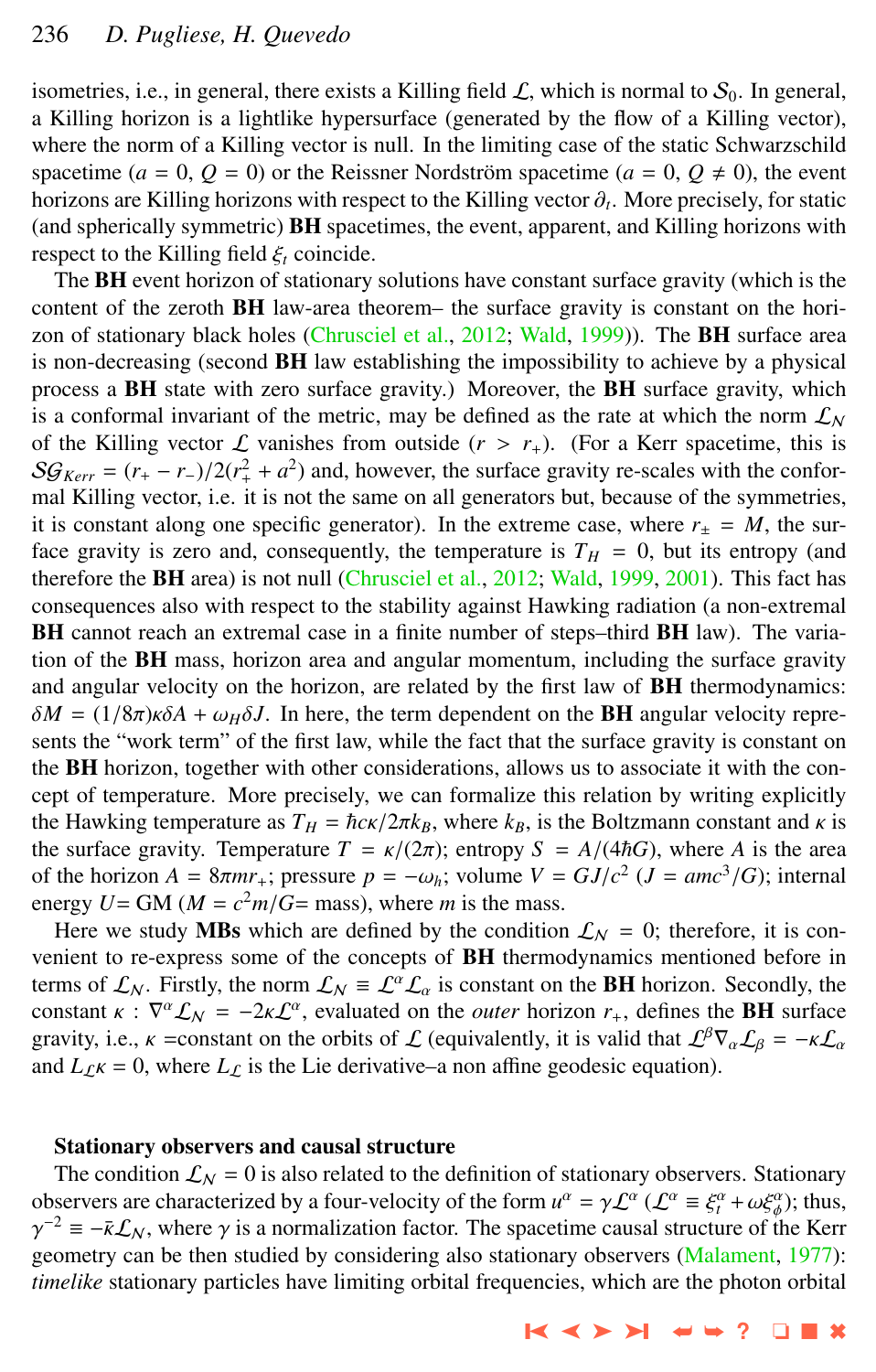isometries, i.e., in general, there exists a Killing field  $\mathcal{L}$ , which is normal to  $\mathcal{S}_0$ . In general, a Killing horizon is a lightlike hypersurface (generated by the flow of a Killing vector), where the norm of a Killing vector is null. In the limiting case of the static Schwarzschild spacetime  $(a = 0, Q = 0)$  or the Reissner Nordström spacetime  $(a = 0, Q \neq 0)$ , the event horizons are Killing horizons with respect to the Killing vector  $\partial_t$ . More precisely, for static for static the system of  $\partial_t$  and  $\partial_t$  illing horizons with (and spherically symmetric) BH spacetimes, the event, apparent, and Killing horizons with respect to the Killing field <sup>ξ</sup>*<sup>t</sup>* coincide.

The BH event horizon of stationary solutions have constant surface gravity (which is the content of the zeroth **BH** law-area theorem– the surface gravity is constant on the hori-zon of stationary black holes [\(Chrusciel et al.,](#page-10-0) [2012;](#page-10-0) [Wald,](#page-10-0) [1999\)](#page-10-0)). The **BH** surface area is non-decreasing (second BH law establishing the impossibility to achieve by a physical process a BH state with zero surface gravity.) Moreover, the BH surface gravity, which is a conformal invariant of the metric, may be defined as the rate at which the norm  $\mathcal{L}_N$ of the Killing vector  $\mathcal L$  vanishes from outside  $(r > r_+)$ . (For a Kerr spacetime, this is  $S\mathcal{G}_{Kerr} = (r_+ - r_-)/2(r_+^2 + a^2)$  and, however, the surface gravity re-scales with the confor-<br>mal Killing vector i.e., it is not the same on all generators but, because of the symmetries mal Killing vector, i.e. it is not the same on all generators but, because of the symmetries, it is constant along one specific generator). In the extreme case, where  $r_{\pm} = M$ , the surface gravity is zero and, consequently, the temperature is  $T_H = 0$ , but its entropy (and therefore the BH area) is not null [\(Chrusciel et al.,](#page-10-0) [2012;](#page-10-0) [Wald,](#page-10-0) [1999,](#page-10-0) [2001\)](#page-10-0). This fact has consequences also with respect to the stability against Hawking radiation (a non-extremal BH cannot reach an extremal case in a finite number of steps–third BH law). The variation of the **BH** mass, horizon area and angular momentum, including the surface gravity and angular velocity on the horizon, are related by the first law of **BH** thermodynamics:  $\delta M = (1/8\pi)\kappa \delta A + \omega_H \delta J$ . In here, the term dependent on the **BH** angular velocity represents the "work term" of the first law, while the fact that the surface gravity is constant on the BH horizon, together with other considerations, allows us to associate it with the concept of temperature. More precisely, we can formalize this relation by writing explicitly the Hawking temperature as  $T_H = \hbar c \kappa / 2 \pi k_B$ , where  $k_B$ , is the Boltzmann constant and  $\kappa$  is the surface gravity. Temperature  $T = \kappa/(2\pi)$ ; entropy  $S = A/(4\hbar G)$ , where *A* is the area of the horizon  $A = 8\pi m r_+$ ; pressure  $p = -\omega_h$ ; volume  $V = GJ/c^2$  ( $J = \frac{amc^3}{G}$ ); internal energy  $I = GM (M - c^2m/G - \text{mas})$ , where m is the mass energy  $U = GM (M = c<sup>2</sup>m/G = mass)$ , where *m* is the mass.<br>Here we study **MBs** which are defined by the condition

Here we study MBs which are defined by the condition  $\mathcal{L}_N = 0$ ; therefore, it is convenient to re-express some of the concepts of BH thermodynamics mentioned before in terms of  $\mathcal{L}_N$ . Firstly, the norm  $\mathcal{L}_N = \mathcal{L}^{\alpha} \mathcal{L}_{\alpha}$  is constant on the **BH** horizon. Secondly, the constant  $\kappa$ :  $\nabla^{\alpha} \mathcal{L}_{N} = -2\kappa \mathcal{L}^{\alpha}$ , evaluated on the *outer* horizon  $r_{+}$ , defines the **BH** surface gravity i.e.  $\kappa$  = constant on the orbits of  $\Gamma$  (equivalently it is valid that  $\Gamma^{\beta} \nabla \Gamma_{\alpha} = -\k$ gravity, i.e.,  $\kappa$  =constant on the orbits of  $\mathcal L$  (equivalently, it is valid that  $\mathcal L^{\beta}\nabla_{\alpha}\mathcal L_{\beta} = -\kappa\mathcal L_{\alpha}$ and  $L_{\ell}$ <sub>K</sub> = 0, where  $L_{\ell}$  is the Lie derivative–a non affine geodesic equation).

#### Stationary observers and causal structure

The condition  $\mathcal{L}_N = 0$  is also related to the definition of stationary observers. Stationary observers are characterized by a four-velocity of the form  $u^{\alpha} = \gamma \mathcal{L}^{\alpha}$  ( $\mathcal{L}^{\alpha} \equiv \xi_1^{\alpha} + \omega \xi_{\phi}^{\alpha}$ ); thus,  $\gamma^{-2} = -\bar{\kappa} f$ , where  $\gamma$  is a normalization factor. The spacetime causal structure of the Ke  $\overline{\phantom{a}}^{-2} \equiv -\overline{k} \mathcal{L}_N$ , where  $\gamma$  is a normalization factor. The spacetime causal structure of the Kerr<br>equative can be then studied by considering also stationary observers (Malament, 1977). γ geometry can be then studied by considering also stationary observers [\(Malament,](#page-10-0) [1977\)](#page-10-0): *timelike* stationary particles have limiting orbital frequencies, which are the photon orbital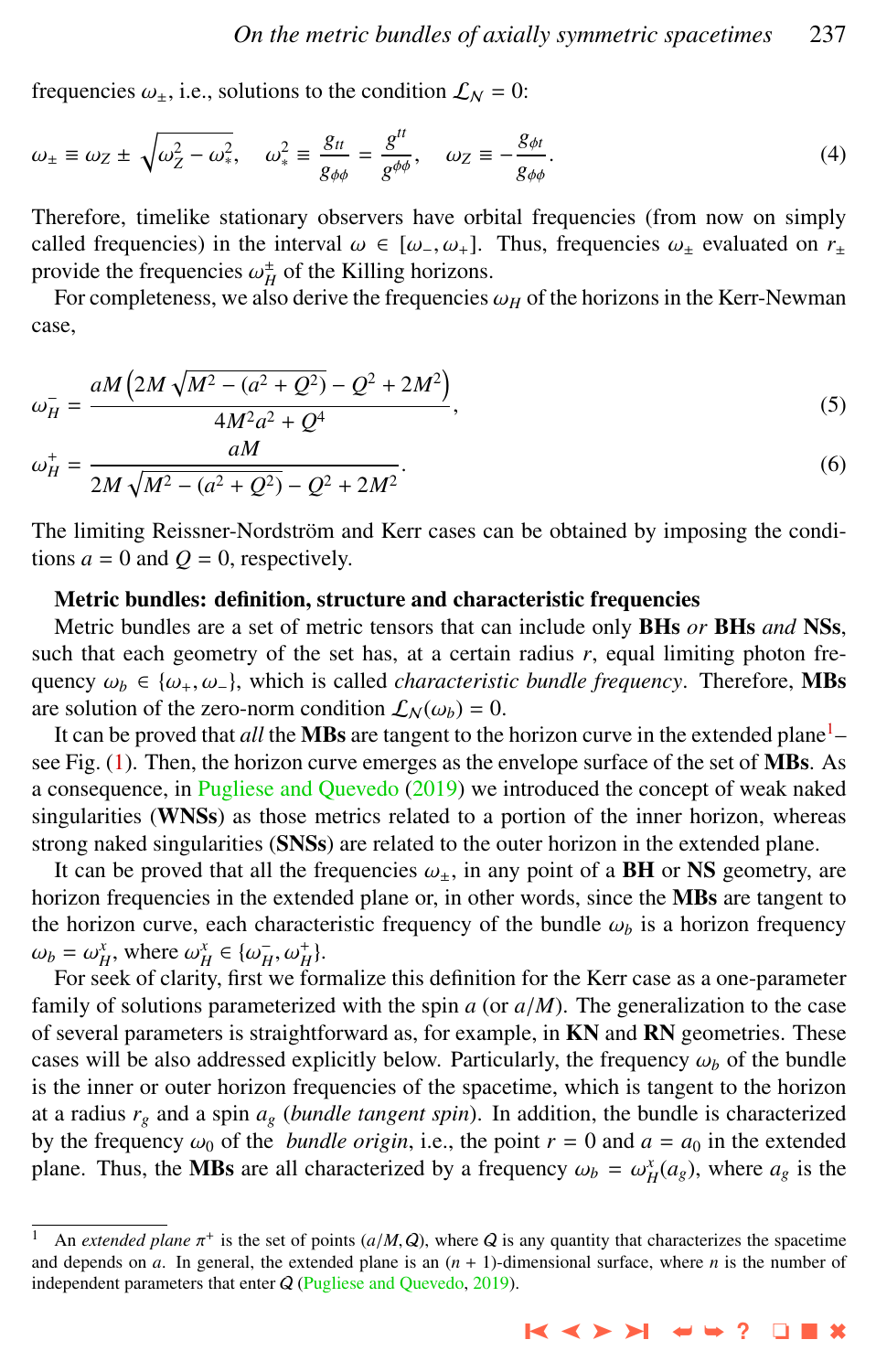frequencies  $\omega_{\pm}$ , i.e., solutions to the condition  $\mathcal{L}_N = 0$ :

$$
\omega_{\pm} \equiv \omega_Z \pm \sqrt{\omega_Z^2 - \omega_*^2}, \quad \omega_{*}^2 \equiv \frac{g_{tt}}{g_{\phi\phi}} = \frac{g^{tt}}{g^{\phi\phi}}, \quad \omega_Z \equiv -\frac{g_{\phi t}}{g_{\phi\phi}}.
$$
(4)

Therefore, timelike stationary observers have orbital frequencies (from now on simply called frequencies) in the interval  $\omega \in [\omega, \omega_+]$ . Thus, frequencies  $\omega_{\pm}$  evaluated on  $r_{\pm}$ provide the frequencies  $\omega_H^{\dagger}$  of the Killing horizons.<br>For completeness, we also derive the frequencies

For completeness, we also derive the frequencies  $\omega_H$  of the horizons in the Kerr-Newman case,

$$
\omega_H^- = \frac{aM\left(2M\sqrt{M^2 - (a^2 + Q^2)} - Q^2 + 2M^2\right)}{4M^2a^2 + Q^4},\tag{5}
$$

$$
\omega_H^+ = \frac{am}{2M\sqrt{M^2 - (a^2 + Q^2)} - Q^2 + 2M^2}.\tag{6}
$$

The limiting Reissner-Nordström and Kerr cases can be obtained by imposing the conditions  $a = 0$  and  $Q = 0$ , respectively.

#### Metric bundles: definition, structure and characteristic frequencies

Metric bundles are a set of metric tensors that can include only BHs *or* BHs *and* NSs, such that each geometry of the set has, at a certain radius  $r$ , equal limiting photon frequency  $\omega_b \in {\omega_+, \omega_-}$ , which is called *characteristic bundle frequency*. Therefore, **MBs** are solution of the zero-norm condition  $\mathcal{L}_N(\omega_b) = 0$ .

It can be proved that *all* the **MBs** are tangent to the horizon curve in the extended plane<sup>1</sup>-see Fig. [\(1\)](#page-8-0). Then, the horizon curve emerges as the envelope surface of the set of MBs. As a consequence, in [Pugliese and Quevedo](#page-10-0) [\(2019\)](#page-10-0) we introduced the concept of weak naked singularities (WNSs) as those metrics related to a portion of the inner horizon, whereas strong naked singularities (SNSs) are related to the outer horizon in the extended plane.

It can be proved that all the frequencies  $\omega_{\pm}$ , in any point of a **BH** or NS geometry, are horizon frequencies in the extended plane or, in other words, since the MBs are tangent to the horizon curve, each characteristic frequency of the bundle  $\omega_b$  is a horizon frequency  $\omega_b = \omega_H^x$ , where  $\omega_H^x \in {\{\omega_H^-, \omega_H^+\}}$ .<br>For seek of clarity first we for

For seek of clarity, first we formalize this definition for the Kerr case as a one-parameter family of solutions parameterized with the spin  $a$  (or  $a/M$ ). The generalization to the case of several parameters is straightforward as, for example, in KN and RN geometries. These cases will be also addressed explicitly below. Particularly, the frequency  $\omega_b$  of the bundle is the inner or outer horizon frequencies of the spacetime, which is tangent to the horizon at a radius  $r_g$  and a spin  $a_g$  (*bundle tangent spin*). In addition, the bundle is characterized by the frequency  $\omega_0$  of the *bundle origin*, i.e., the point  $r = 0$  and  $a = a_0$  in the extended plane. Thus, the **MBs** are all characterized by a frequency  $\omega_b = \omega_H^x(a_g)$ , where  $a_g$  is the

<sup>&</sup>lt;sup>1</sup> An *extended plane*  $\pi^+$  is the set of points ( $a/M$ , Q), where Q is any quantity that characterizes the spacetime and depends on q. In general, the extended plane is an  $(n + 1)$ -dimensional surface, where n is the nu and depends on *a*. In general, the extended plane is an  $(n + 1)$ -dimensional surface, where *n* is the number of independent parameters that enter Q [\(Pugliese and Quevedo,](#page-10-0) [2019\)](#page-10-0).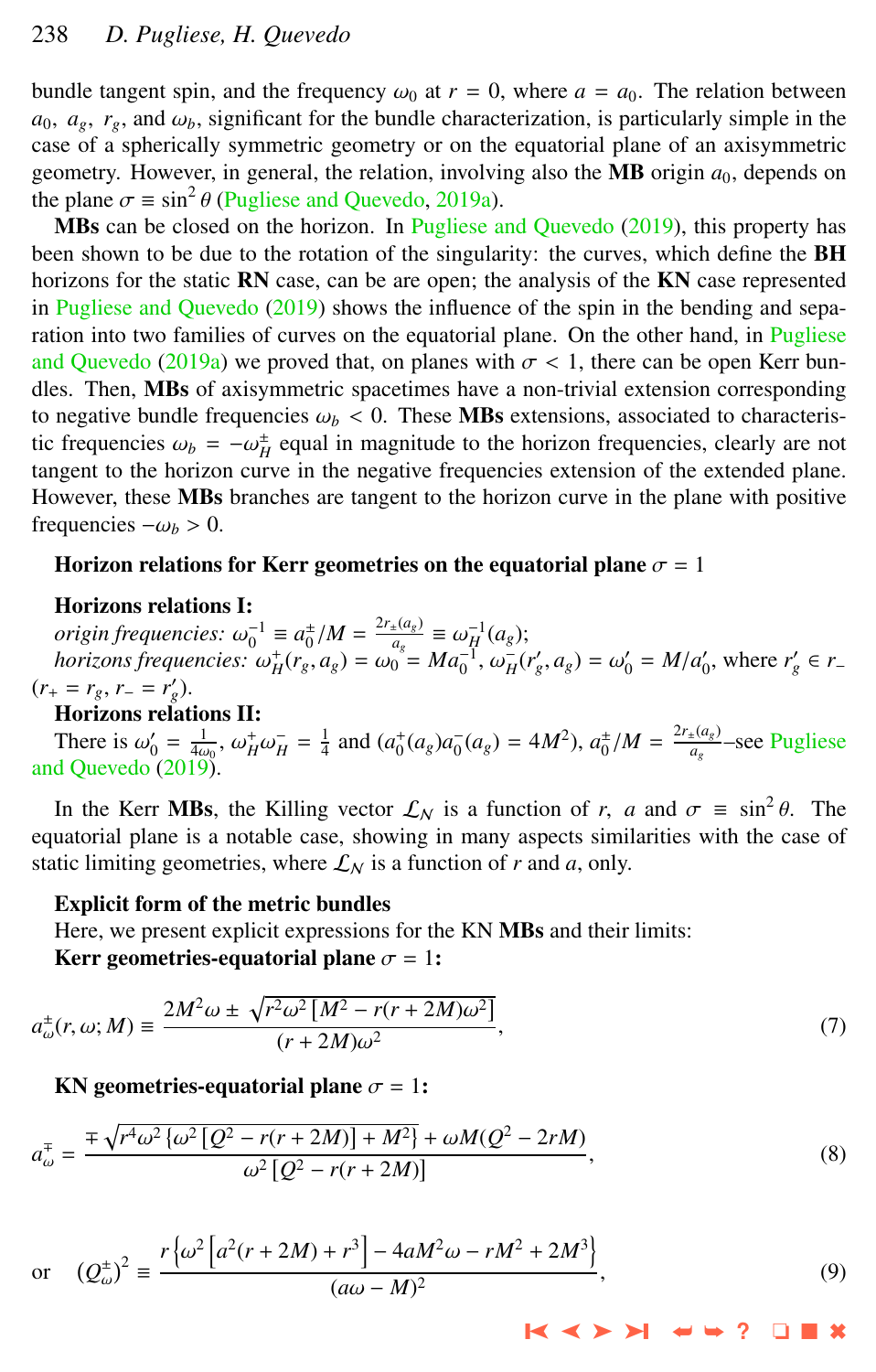<span id="page-5-0"></span>bundle tangent spin, and the frequency  $\omega_0$  at  $r = 0$ , where  $a = a_0$ . The relation between  $a_0$ ,  $a_g$ ,  $r_g$ , and  $\omega_b$ , significant for the bundle characterization, is particularly simple in the case of a spherically symmetric geometry or on the equatorial plane of an axisymmetric geometry. However, in general, the relation, involving also the **MB** origin  $a_0$ , depends on the plane  $\sigma \equiv \sin^2 \theta$  [\(Pugliese and Quevedo,](#page-10-0) [2019a\)](#page-10-0).<br>**MBs** can be closed on the borizon. In Pugliese a

MBs can be closed on the horizon. In [Pugliese and Quevedo](#page-10-0) [\(2019\)](#page-10-0), this property has been shown to be due to the rotation of the singularity: the curves, which define the **BH** horizons for the static RN case, can be are open; the analysis of the KN case represented in [Pugliese and Quevedo](#page-10-0) [\(2019\)](#page-10-0) shows the influence of the spin in the bending and sepa-ration into two families of curves on the equatorial plane. On the other hand, in [Pugliese](#page-10-0) [and Quevedo](#page-10-0) [\(2019a\)](#page-10-0) we proved that, on planes with  $\sigma < 1$ , there can be open Kerr bundles. Then, MBs of axisymmetric spacetimes have a non-trivial extension corresponding to negative bundle frequencies  $\omega_b < 0$ . These **MBs** extensions, associated to characteristic frequencies  $\omega_b = -\omega_H^{\pm}$  equal in magnitude to the horizon frequencies, clearly are not tangent to the horizon curve in the negative frequencies extension of the extended plane tangent to the horizon curve in the negative frequencies extension of the extended plane. However, these **MBs** branches are tangent to the horizon curve in the plane with positive frequencies  $-\omega_b > 0$ .

#### Horizon relations for Kerr geometries on the equatorial plane  $\sigma = 1$

### Horizons relations I:

 $\omega_0^{-1} \equiv a_0^{\pm}/M = \frac{2r_{\pm}(a_g)}{a_g}$ <br> *horizons frequencies:*<br>  $\omega_0^+(r, a_g) = \omega_0$  $\frac{a_g}{a_g} \equiv \omega_H^{-1}(a_g);$ <br>  $\omega = Ma^{-1}(\omega - \omega)$ *horizons frequencies:*  $\omega_H^+(r_g, a_g) = \omega_0^0 = Ma_0^{-1}, \omega_H^-(r_g', a_g) = \omega_0' = M/a_0',$  where  $r_g' \in r - r$ ,  $r_g' \in r$  $(r_{+} = r_{g}, r_{-} = r'_{g}).$ 

#### Horizons relations II:

There is  $\omega'_0 = \frac{1}{4\omega_0}$ ,  $\omega_H^+ \omega_H^- = \frac{1}{4}$  and  $(a_0^+(a_g)a_0^-(a_g) = 4M^2$ ,  $a_0^+/M = \frac{2r_+(a_g)}{a_g}$ [and Quevedo](#page-10-0) [\(2019\)](#page-10-0). *ag* –see [Pugliese](#page-10-0)

In the Kerr **MBs**, the Killing vector  $\mathcal{L}_N$  is a function of *r*, *a* and  $\sigma \equiv \sin^2 \theta$ . The ustorial plane is a notable case, showing in many aspects similarities with the case of equatorial plane is a notable case, showing in many aspects similarities with the case of static limiting geometries, where  $\mathcal{L}_N$  is a function of *r* and *a*, only.

#### Explicit form of the metric bundles

Here, we present explicit expressions for the KN MBs and their limits:

Kerr geometries-equatorial plane  $\sigma = 1$ :

$$
a_{\omega}^{\pm}(r,\omega;M) \equiv \frac{2M^2\omega \pm \sqrt{r^2\omega^2 \left[M^2 - r(r+2M)\omega^2\right]}}{(r+2M)\omega^2},\tag{7}
$$

KN geometries-equatorial plane  $\sigma = 1$ :

$$
a_{\omega}^{\mp} = \frac{\mp \sqrt{r^4 \omega^2 \left\{\omega^2 \left[Q^2 - r(r + 2M)\right] + M^2\right\}} + \omega M(Q^2 - 2rM)}{\omega^2 \left[Q^2 - r(r + 2M)\right]},
$$
\n(8)

or 
$$
(Q_{\omega}^{\pm})^2 = \frac{r \left{\omega^2 \left[a^2(r+2M) + r^3\right] - 4aM^2\omega - rM^2 + 2M^3\right\}}{(a\omega - M)^2}
$$
, (9)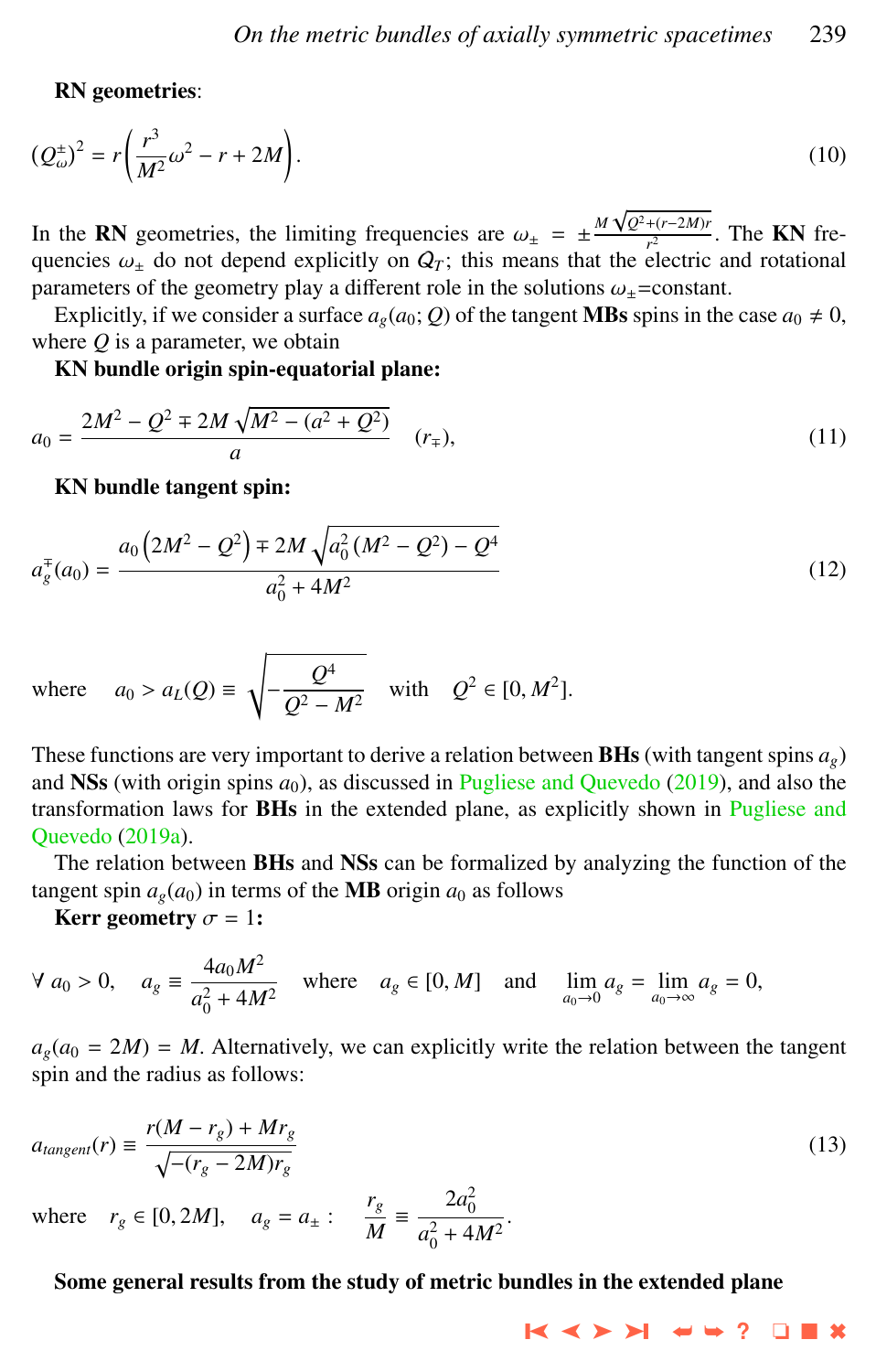#### RN geometries:

$$
\left(Q_{\omega}^{\pm}\right)^{2} = r\left(\frac{r^{3}}{M^{2}}\omega^{2} - r + 2M\right). \tag{10}
$$

In the **RN** geometries, the limiting frequencies are  $\omega_{\pm} = \pm \frac{M \sqrt{Q^2 + (r - 2M)r}}{r^2}$ <br>*Quencies*  $\omega_{\pm}$  do not depend explicitly on  $Q_{\pm}$ ; this means that the electric  $\frac{r^{(1-2M)'}{r^2}}{r^2}$ . The **KN** frequencies  $\omega_{\pm}$  do not depend explicitly on  $Q_T$ ; this means that the electric and rotational<br>parameters of the geometry play a different role in the solutions  $\omega$  =constant parameters of the geometry play a different role in the solutions  $\omega_{\pm}$ =constant.

Explicitly, if we consider a surface  $a_g(a_0; Q)$  of the tangent **MBs** spins in the case  $a_0 \neq 0$ , where *Q* is a parameter, we obtain

KN bundle origin spin-equatorial plane:

$$
a_0 = \frac{2M^2 - Q^2 \mp 2M\sqrt{M^2 - (a^2 + Q^2)}}{a} \quad (r_{\mp}),
$$
\n(11)

KN bundle tangent spin:

$$
a_g^{\dagger}(a_0) = \frac{a_0 \left(2M^2 - Q^2\right) \mp 2M \sqrt{a_0^2 \left(M^2 - Q^2\right) - Q^4}}{a_0^2 + 4M^2}
$$
\n(12)

where 
$$
a_0 > a_L(Q) \equiv \sqrt{-\frac{Q^4}{Q^2 - M^2}}
$$
 with  $Q^2 \in [0, M^2]$ .

These functions are very important to derive a relation between BHs (with tangent spins *ag*) and NSs (with origin spins  $a_0$ ), as discussed in [Pugliese and Quevedo](#page-10-0) [\(2019\)](#page-10-0), and also the transformation laws for BHs in the extended plane, as explicitly shown in [Pugliese and](#page-10-0) [Quevedo](#page-10-0) [\(2019a\)](#page-10-0).

The relation between BHs and NSs can be formalized by analyzing the function of the tangent spin  $a_g(a_0)$  in terms of the **MB** origin  $a_0$  as follows

Kerr geometry  $\sigma = 1$ :

$$
\forall a_0 > 0
$$
,  $a_g \equiv \frac{4a_0M^2}{a_0^2 + 4M^2}$  where  $a_g \in [0, M]$  and  $\lim_{a_0 \to 0} a_g = \lim_{a_0 \to \infty} a_g = 0$ ,

 $a_g(a_0 = 2M) = M$ . Alternatively, we can explicitly write the relation between the tangent spin and the radius as follows:

$$
a_{tangent}(r) \equiv \frac{r(M - r_g) + Mr_g}{\sqrt{- (r_g - 2M)r_g}}\tag{13}
$$

where  $r_g \in [0, 2M]$ ,  $a_g = a_{\pm}$ :  $\frac{r_g}{M}$  $\frac{r_g}{M} = \frac{2a_0^2}{a_0^2 + 4}$  $a_0^2 + 4M^2$ 

#### Some general results from the study of metric bundles in the extended plane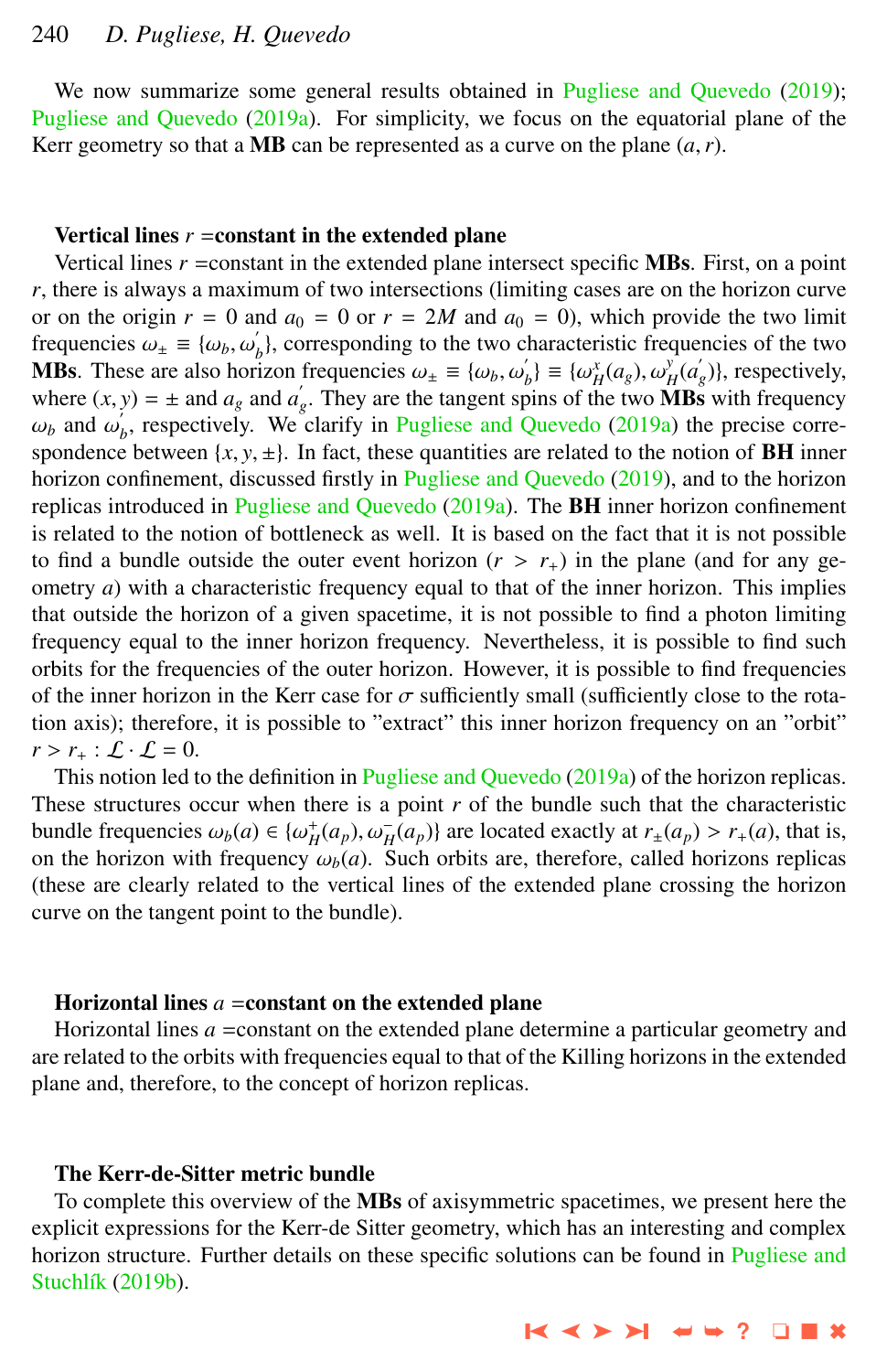# 240 *D. Pugliese, H. Quevedo*

We now summarize some general results obtained in [Pugliese and Quevedo](#page-10-0) [\(2019\)](#page-10-0); [Pugliese and Quevedo](#page-10-0) [\(2019a\)](#page-10-0). For simplicity, we focus on the equatorial plane of the Kerr geometry so that a MB can be represented as a curve on the plane  $(a, r)$ .

#### Vertical lines  $r = constant$  in the extended plane

Vertical lines *r* =constant in the extended plane intersect specific MBs. First, on a point *r*, there is always a maximum of two intersections (limiting cases are on the horizon curve or on the origin  $r = 0$  and  $a_0 = 0$  or  $r = 2M$  and  $a_0 = 0$ ), which provide the two limit frequencies  $\omega_{\pm} \equiv {\omega_b, \omega'_b}$ <br>MRs. These are also hori  $\hat{b}_b$ , corresponding to the two characteristic frequencies of the two **MBs.** These are also horizon frequencies  $\omega_{\pm} = {\omega_b, \omega'_b}$ <br>where  $(y, y) = \pm$  and a and a. They are the tangent sp  $\begin{cases} b' \\ b' \end{cases} \equiv \{ \omega_H^x(a_g), \omega_H^y\}$  $y_H^{\mathbf{y}}(a'_g)$ }, respectively, where  $(x, y) = \pm$  and  $a_g$  and  $a'_g$ . They are the tangent spins of the two **MBs** with frequency  $\omega_b$  and  $\omega'_b$ *b* , respectively. We clarify in [Pugliese and Quevedo](#page-10-0) [\(2019a\)](#page-10-0) the precise correspondence between  $\{x, y, \pm\}$ . In fact, these quantities are related to the notion of **BH** inner horizon confinement, discussed firstly in [Pugliese and Quevedo](#page-10-0) [\(2019\)](#page-10-0), and to the horizon replicas introduced in [Pugliese and Quevedo](#page-10-0)  $(2019a)$ . The **BH** inner horizon confinement is related to the notion of bottleneck as well. It is based on the fact that it is not possible to find a bundle outside the outer event horizon  $(r > r<sub>+</sub>)$  in the plane (and for any geometry *a*) with a characteristic frequency equal to that of the inner horizon. This implies that outside the horizon of a given spacetime, it is not possible to find a photon limiting frequency equal to the inner horizon frequency. Nevertheless, it is possible to find such orbits for the frequencies of the outer horizon. However, it is possible to find frequencies of the inner horizon in the Kerr case for  $\sigma$  sufficiently small (sufficiently close to the rotation axis); therefore, it is possible to "extract" this inner horizon frequency on an "orbit"  $r > r_+$ :  $\mathcal{L} \cdot \mathcal{L} = 0$ .

This notion led to the definition in [Pugliese and Quevedo](#page-10-0) [\(2019a\)](#page-10-0) of the horizon replicas. These structures occur when there is a point *r* of the bundle such that the characteristic bundle frequencies  $\omega_b(a) \in {\{\omega_H^+(a_p), \omega_H^-(a_p)\}}$  are located exactly at  $r_{\pm}(a_p) > r_{+}(a)$ , that is, on the horizon with frequency  $\omega_b(a)$ . Such orbits are, therefore, called horizons replicas (these are clearly related to the vertical lines of the extended plane crossing the horizon curve on the tangent point to the bundle).

#### Horizontal lines  $a = constant$  on the extended plane

Horizontal lines *a* =constant on the extended plane determine a particular geometry and are related to the orbits with frequencies equal to that of the Killing horizons in the extended plane and, therefore, to the concept of horizon replicas.

# The Kerr-de-Sitter metric bundle

To complete this overview of the MBs of axisymmetric spacetimes, we present here the explicit expressions for the Kerr-de Sitter geometry, which has an interesting and complex horizon structure. Further details on these specific solutions can be found in [Pugliese and](#page-10-0) Stuchlík [\(2019b\)](#page-10-0).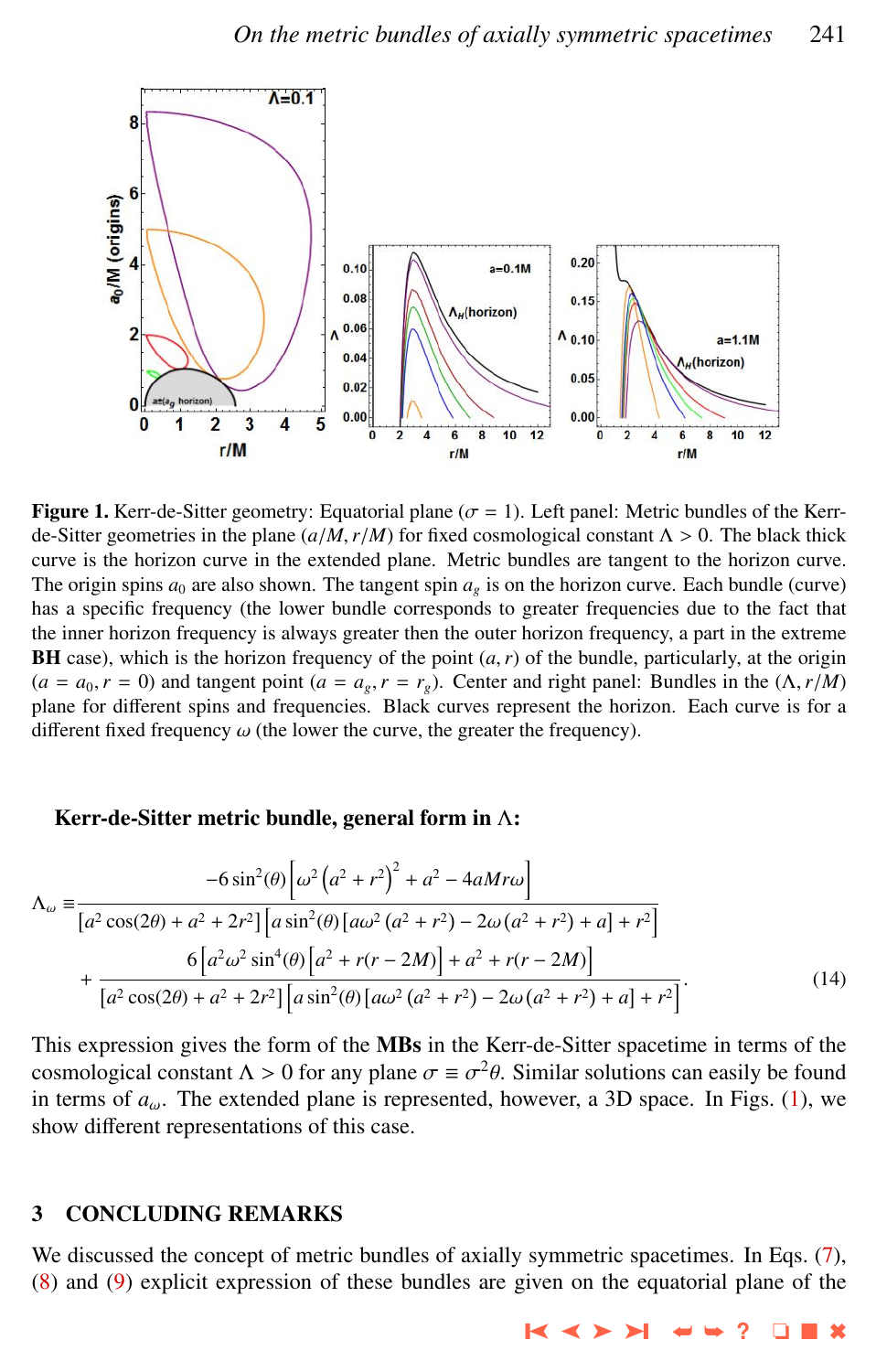<span id="page-8-0"></span>

**Figure 1.** Kerr-de-Sitter geometry: Equatorial plane ( $\sigma = 1$ ). Left panel: Metric bundles of the Kerrde-Sitter geometries in the plane  $(a/M, r/M)$  for fixed cosmological constant  $\Lambda > 0$ . The black thick curve is the horizon curve in the extended plane. Metric bundles are tangent to the horizon curve. The origin spins  $a_0$  are also shown. The tangent spin  $a_g$  is on the horizon curve. Each bundle (curve) has a specific frequency (the lower bundle corresponds to greater frequencies due to the fact that the inner horizon frequency is always greater then the outer horizon frequency, a part in the extreme **BH** case), which is the horizon frequency of the point  $(a, r)$  of the bundle, particularly, at the origin  $(a = a_0, r = 0)$  and tangent point  $(a = a_g, r = r_g)$ . Center and right panel: Bundles in the  $(\Lambda, r/M)$ plane for different spins and frequencies. Black curves represent the horizon. Each curve is for a different fixed frequency  $\omega$  (the lower the curve, the greater the frequency).

#### Kerr-de-Sitter metric bundle, general form in Λ:

$$
\Lambda_{\omega} = \frac{-6 \sin^2(\theta) \left[\omega^2 \left(a^2 + r^2\right)^2 + a^2 - 4aMr\omega\right]}{\left[a^2 \cos(2\theta) + a^2 + 2r^2\right] \left[a \sin^2(\theta) \left[a\omega^2 \left(a^2 + r^2\right) - 2\omega \left(a^2 + r^2\right) + a\right] + r^2\right]} + \frac{6 \left[a^2 \omega^2 \sin^4(\theta) \left[a^2 + r(r - 2M)\right] + a^2 + r(r - 2M)\right]}{\left[a^2 \cos(2\theta) + a^2 + 2r^2\right] \left[a \sin^2(\theta) \left[a\omega^2 \left(a^2 + r^2\right) - 2\omega \left(a^2 + r^2\right) + a\right] + r^2\right]}.
$$
\n(14)

This expression gives the form of the MBs in the Kerr-de-Sitter spacetime in terms of the cosmological constant  $\Lambda > 0$  for any plane  $\sigma \equiv \sigma^2 \theta$ . Similar solutions can easily be found<br>in terms of a. The extended plane is represented, however, a 3D space. In Figs. (1), we in terms of  $a_{\omega}$ . The extended plane is represented, however, a 3D space. In Figs. (1), we show different representations of this case.

# 3 CONCLUDING REMARKS

We discussed the concept of metric bundles of axially symmetric spacetimes. In Eqs. [\(7\)](#page-5-0), [\(8\)](#page-5-0) and [\(9\)](#page-5-0) explicit expression of these bundles are given on the equatorial plane of the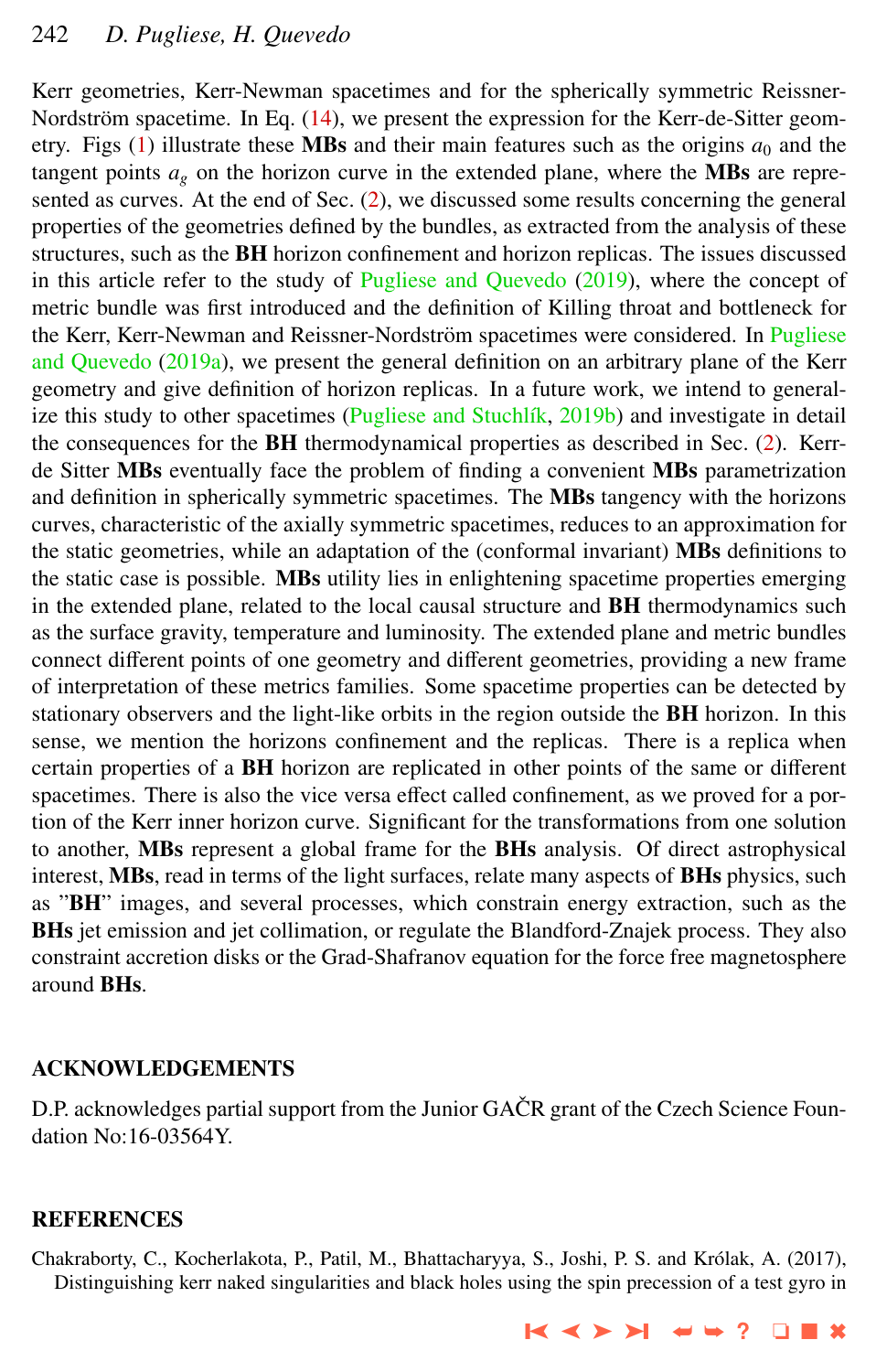<span id="page-9-0"></span>Kerr geometries, Kerr-Newman spacetimes and for the spherically symmetric Reissner-Nordström spacetime. In Eq.  $(14)$  $(14)$ , we present the expression for the Kerr-de-Sitter geometry. Figs  $(1)$  illustrate these MBs and their main features such as the origins  $a_0$  and the tangent points  $a_g$  on the horizon curve in the extended plane, where the **MBs** are represented as curves. At the end of Sec. [\(2\)](#page-2-0), we discussed some results concerning the general properties of the geometries defined by the bundles, as extracted from the analysis of these structures, such as the BH horizon confinement and horizon replicas. The issues discussed in this article refer to the study of [Pugliese and Quevedo](#page-10-0) [\(2019\)](#page-10-0), where the concept of metric bundle was first introduced and the definition of Killing throat and bottleneck for the Kerr, Kerr-Newman and Reissner-Nordström spacetimes were considered. In [Pugliese](#page-10-0) [and Quevedo](#page-10-0) [\(2019a\)](#page-10-0), we present the general definition on an arbitrary plane of the Kerr geometry and give definition of horizon replicas. In a future work, we intend to general-ize this study to other spacetimes (Pugliese and Stuchlík, [2019b\)](#page-10-0) and investigate in detail the consequences for the  $BH$  thermodynamical properties as described in Sec. [\(2\)](#page-2-0). Kerrde Sitter MBs eventually face the problem of finding a convenient MBs parametrization and definition in spherically symmetric spacetimes. The **MBs** tangency with the horizons curves, characteristic of the axially symmetric spacetimes, reduces to an approximation for the static geometries, while an adaptation of the (conformal invariant) MBs definitions to the static case is possible. MBs utility lies in enlightening spacetime properties emerging in the extended plane, related to the local causal structure and BH thermodynamics such as the surface gravity, temperature and luminosity. The extended plane and metric bundles connect different points of one geometry and different geometries, providing a new frame of interpretation of these metrics families. Some spacetime properties can be detected by stationary observers and the light-like orbits in the region outside the BH horizon. In this sense, we mention the horizons confinement and the replicas. There is a replica when certain properties of a BH horizon are replicated in other points of the same or different spacetimes. There is also the vice versa effect called confinement, as we proved for a portion of the Kerr inner horizon curve. Significant for the transformations from one solution to another, MBs represent a global frame for the BHs analysis. Of direct astrophysical interest, MBs, read in terms of the light surfaces, relate many aspects of BHs physics, such as "BH" images, and several processes, which constrain energy extraction, such as the BHs jet emission and jet collimation, or regulate the Blandford-Znajek process. They also constraint accretion disks or the Grad-Shafranov equation for the force free magnetosphere around BHs.

# ACKNOWLEDGEMENTS

D.P. acknowledges partial support from the Junior GAČR grant of the Czech Science Foundation No:16-03564Y.

#### REFERENCES

Chakraborty, C., Kocherlakota, P., Patil, M., Bhattacharyya, S., Joshi, P. S. and Krolak, A. (2017), ´ Distinguishing kerr naked singularities and black holes using the spin precession of a test gyro in